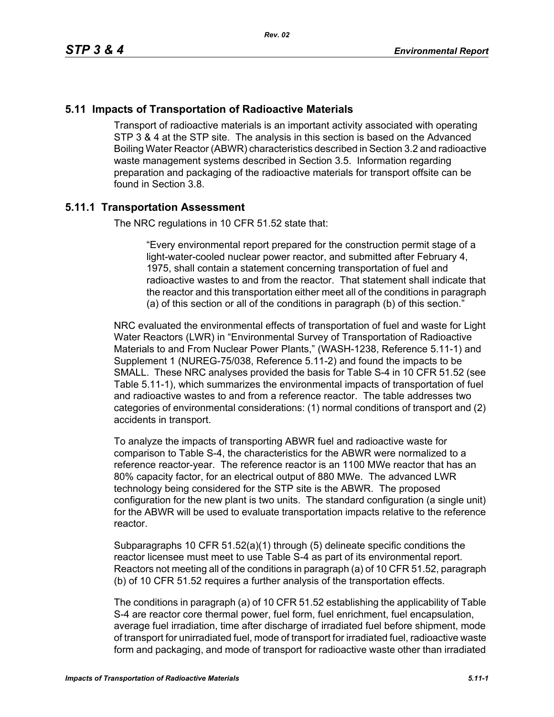## **5.11 Impacts of Transportation of Radioactive Materials**

Transport of radioactive materials is an important activity associated with operating STP 3 & 4 at the STP site. The analysis in this section is based on the Advanced Boiling Water Reactor (ABWR) characteristics described in Section 3.2 and radioactive waste management systems described in Section 3.5. Information regarding preparation and packaging of the radioactive materials for transport offsite can be found in Section 3.8.

## **5.11.1 Transportation Assessment**

The NRC regulations in 10 CFR 51.52 state that:

"Every environmental report prepared for the construction permit stage of a light-water-cooled nuclear power reactor, and submitted after February 4, 1975, shall contain a statement concerning transportation of fuel and radioactive wastes to and from the reactor. That statement shall indicate that the reactor and this transportation either meet all of the conditions in paragraph (a) of this section or all of the conditions in paragraph (b) of this section."

NRC evaluated the environmental effects of transportation of fuel and waste for Light Water Reactors (LWR) in "Environmental Survey of Transportation of Radioactive Materials to and From Nuclear Power Plants," (WASH-1238, Reference 5.11-1) and Supplement 1 (NUREG-75/038, Reference 5.11-2) and found the impacts to be SMALL. These NRC analyses provided the basis for Table S-4 in 10 CFR 51.52 (see Table 5.11-1), which summarizes the environmental impacts of transportation of fuel and radioactive wastes to and from a reference reactor. The table addresses two categories of environmental considerations: (1) normal conditions of transport and (2) accidents in transport.

To analyze the impacts of transporting ABWR fuel and radioactive waste for comparison to Table S-4, the characteristics for the ABWR were normalized to a reference reactor-year. The reference reactor is an 1100 MWe reactor that has an 80% capacity factor, for an electrical output of 880 MWe. The advanced LWR technology being considered for the STP site is the ABWR. The proposed configuration for the new plant is two units. The standard configuration (a single unit) for the ABWR will be used to evaluate transportation impacts relative to the reference reactor.

Subparagraphs 10 CFR 51.52(a)(1) through (5) delineate specific conditions the reactor licensee must meet to use Table S-4 as part of its environmental report. Reactors not meeting all of the conditions in paragraph (a) of 10 CFR 51.52, paragraph (b) of 10 CFR 51.52 requires a further analysis of the transportation effects.

The conditions in paragraph (a) of 10 CFR 51.52 establishing the applicability of Table S-4 are reactor core thermal power, fuel form, fuel enrichment, fuel encapsulation, average fuel irradiation, time after discharge of irradiated fuel before shipment, mode of transport for unirradiated fuel, mode of transport for irradiated fuel, radioactive waste form and packaging, and mode of transport for radioactive waste other than irradiated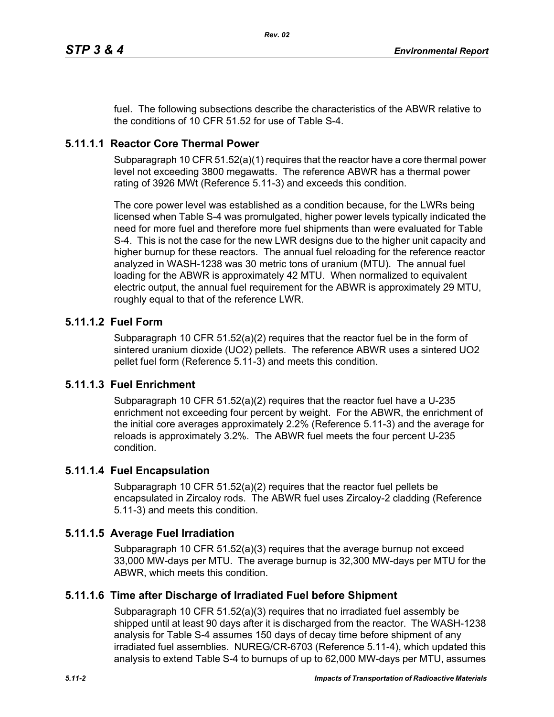fuel. The following subsections describe the characteristics of the ABWR relative to the conditions of 10 CFR 51.52 for use of Table S-4.

## **5.11.1.1 Reactor Core Thermal Power**

Subparagraph 10 CFR 51.52(a)(1) requires that the reactor have a core thermal power level not exceeding 3800 megawatts. The reference ABWR has a thermal power rating of 3926 MWt (Reference 5.11-3) and exceeds this condition.

The core power level was established as a condition because, for the LWRs being licensed when Table S-4 was promulgated, higher power levels typically indicated the need for more fuel and therefore more fuel shipments than were evaluated for Table S-4. This is not the case for the new LWR designs due to the higher unit capacity and higher burnup for these reactors. The annual fuel reloading for the reference reactor analyzed in WASH-1238 was 30 metric tons of uranium (MTU). The annual fuel loading for the ABWR is approximately 42 MTU. When normalized to equivalent electric output, the annual fuel requirement for the ABWR is approximately 29 MTU, roughly equal to that of the reference LWR.

## **5.11.1.2 Fuel Form**

Subparagraph 10 CFR 51.52(a)(2) requires that the reactor fuel be in the form of sintered uranium dioxide (UO2) pellets. The reference ABWR uses a sintered UO2 pellet fuel form (Reference 5.11-3) and meets this condition.

## **5.11.1.3 Fuel Enrichment**

Subparagraph 10 CFR 51.52(a)(2) requires that the reactor fuel have a U-235 enrichment not exceeding four percent by weight. For the ABWR, the enrichment of the initial core averages approximately 2.2% (Reference 5.11-3) and the average for reloads is approximately 3.2%. The ABWR fuel meets the four percent U-235 condition.

## **5.11.1.4 Fuel Encapsulation**

Subparagraph 10 CFR 51.52(a)(2) requires that the reactor fuel pellets be encapsulated in Zircaloy rods. The ABWR fuel uses Zircaloy-2 cladding (Reference 5.11-3) and meets this condition.

## **5.11.1.5 Average Fuel Irradiation**

Subparagraph 10 CFR  $51.52(a)(3)$  requires that the average burnup not exceed 33,000 MW-days per MTU. The average burnup is 32,300 MW-days per MTU for the ABWR, which meets this condition.

## **5.11.1.6 Time after Discharge of Irradiated Fuel before Shipment**

Subparagraph 10 CFR 51.52(a)(3) requires that no irradiated fuel assembly be shipped until at least 90 days after it is discharged from the reactor. The WASH-1238 analysis for Table S-4 assumes 150 days of decay time before shipment of any irradiated fuel assemblies. NUREG/CR-6703 (Reference 5.11-4), which updated this analysis to extend Table S-4 to burnups of up to 62,000 MW-days per MTU, assumes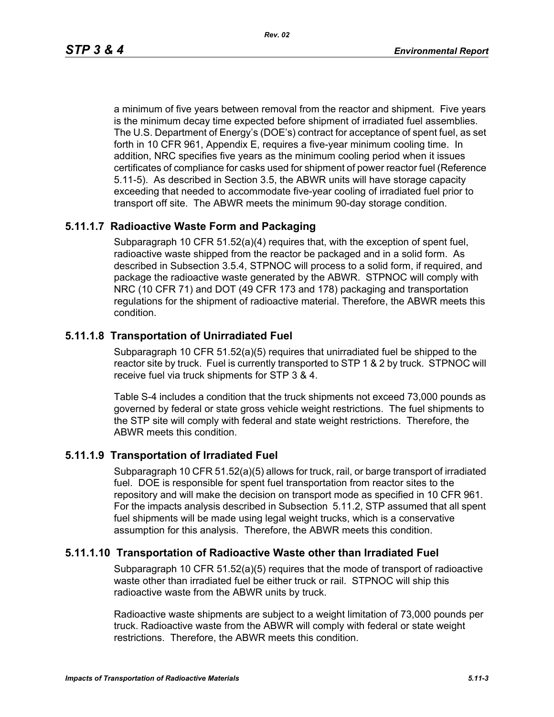a minimum of five years between removal from the reactor and shipment. Five years is the minimum decay time expected before shipment of irradiated fuel assemblies. The U.S. Department of Energy's (DOE's) contract for acceptance of spent fuel, as set forth in 10 CFR 961, Appendix E, requires a five-year minimum cooling time. In addition, NRC specifies five years as the minimum cooling period when it issues certificates of compliance for casks used for shipment of power reactor fuel (Reference 5.11-5). As described in Section 3.5, the ABWR units will have storage capacity exceeding that needed to accommodate five-year cooling of irradiated fuel prior to transport off site. The ABWR meets the minimum 90-day storage condition.

## **5.11.1.7 Radioactive Waste Form and Packaging**

Subparagraph 10 CFR 51.52(a)(4) requires that, with the exception of spent fuel, radioactive waste shipped from the reactor be packaged and in a solid form. As described in Subsection 3.5.4, STPNOC will process to a solid form, if required, and package the radioactive waste generated by the ABWR. STPNOC will comply with NRC (10 CFR 71) and DOT (49 CFR 173 and 178) packaging and transportation regulations for the shipment of radioactive material. Therefore, the ABWR meets this condition.

## **5.11.1.8 Transportation of Unirradiated Fuel**

Subparagraph 10 CFR 51.52(a)(5) requires that unirradiated fuel be shipped to the reactor site by truck. Fuel is currently transported to STP 1 & 2 by truck. STPNOC will receive fuel via truck shipments for STP 3 & 4.

Table S-4 includes a condition that the truck shipments not exceed 73,000 pounds as governed by federal or state gross vehicle weight restrictions. The fuel shipments to the STP site will comply with federal and state weight restrictions. Therefore, the ABWR meets this condition.

## **5.11.1.9 Transportation of Irradiated Fuel**

Subparagraph 10 CFR 51.52(a)(5) allows for truck, rail, or barge transport of irradiated fuel. DOE is responsible for spent fuel transportation from reactor sites to the repository and will make the decision on transport mode as specified in 10 CFR 961. For the impacts analysis described in Subsection 5.11.2, STP assumed that all spent fuel shipments will be made using legal weight trucks, which is a conservative assumption for this analysis. Therefore, the ABWR meets this condition.

## **5.11.1.10 Transportation of Radioactive Waste other than Irradiated Fuel**

Subparagraph 10 CFR 51.52(a)(5) requires that the mode of transport of radioactive waste other than irradiated fuel be either truck or rail. STPNOC will ship this radioactive waste from the ABWR units by truck.

Radioactive waste shipments are subject to a weight limitation of 73,000 pounds per truck. Radioactive waste from the ABWR will comply with federal or state weight restrictions. Therefore, the ABWR meets this condition.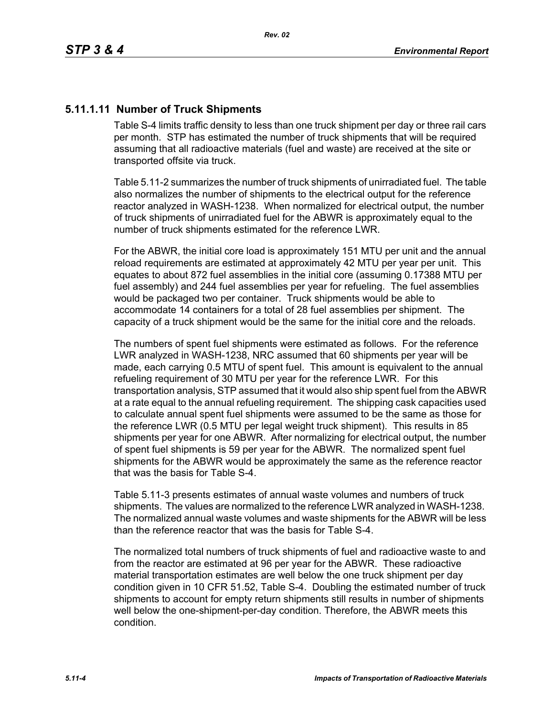## **5.11.1.11 Number of Truck Shipments**

Table S-4 limits traffic density to less than one truck shipment per day or three rail cars per month. STP has estimated the number of truck shipments that will be required assuming that all radioactive materials (fuel and waste) are received at the site or transported offsite via truck.

Table 5.11-2 summarizes the number of truck shipments of unirradiated fuel. The table also normalizes the number of shipments to the electrical output for the reference reactor analyzed in WASH-1238. When normalized for electrical output, the number of truck shipments of unirradiated fuel for the ABWR is approximately equal to the number of truck shipments estimated for the reference LWR.

For the ABWR, the initial core load is approximately 151 MTU per unit and the annual reload requirements are estimated at approximately 42 MTU per year per unit. This equates to about 872 fuel assemblies in the initial core (assuming 0.17388 MTU per fuel assembly) and 244 fuel assemblies per year for refueling. The fuel assemblies would be packaged two per container. Truck shipments would be able to accommodate 14 containers for a total of 28 fuel assemblies per shipment. The capacity of a truck shipment would be the same for the initial core and the reloads.

The numbers of spent fuel shipments were estimated as follows. For the reference LWR analyzed in WASH-1238, NRC assumed that 60 shipments per year will be made, each carrying 0.5 MTU of spent fuel. This amount is equivalent to the annual refueling requirement of 30 MTU per year for the reference LWR. For this transportation analysis, STP assumed that it would also ship spent fuel from the ABWR at a rate equal to the annual refueling requirement. The shipping cask capacities used to calculate annual spent fuel shipments were assumed to be the same as those for the reference LWR (0.5 MTU per legal weight truck shipment). This results in 85 shipments per year for one ABWR. After normalizing for electrical output, the number of spent fuel shipments is 59 per year for the ABWR. The normalized spent fuel shipments for the ABWR would be approximately the same as the reference reactor that was the basis for Table S-4.

Table 5.11-3 presents estimates of annual waste volumes and numbers of truck shipments. The values are normalized to the reference LWR analyzed in WASH-1238. The normalized annual waste volumes and waste shipments for the ABWR will be less than the reference reactor that was the basis for Table S-4.

The normalized total numbers of truck shipments of fuel and radioactive waste to and from the reactor are estimated at 96 per year for the ABWR. These radioactive material transportation estimates are well below the one truck shipment per day condition given in 10 CFR 51.52, Table S-4. Doubling the estimated number of truck shipments to account for empty return shipments still results in number of shipments well below the one-shipment-per-day condition. Therefore, the ABWR meets this condition.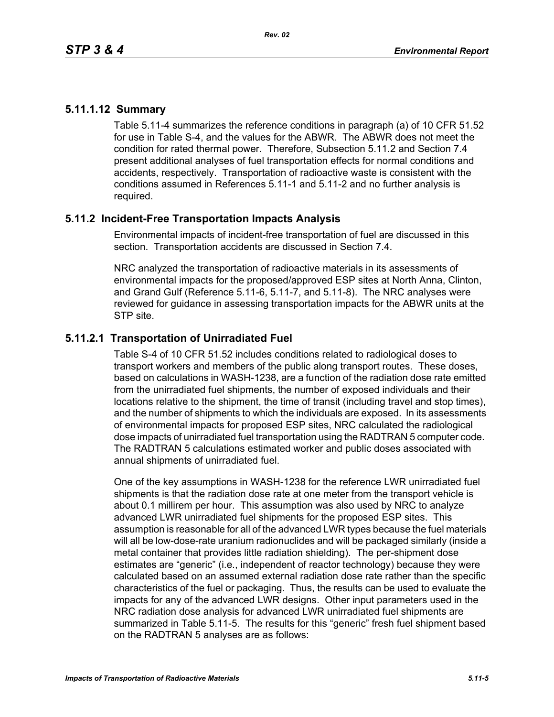## **5.11.1.12 Summary**

Table 5.11-4 summarizes the reference conditions in paragraph (a) of 10 CFR 51.52 for use in Table S-4, and the values for the ABWR. The ABWR does not meet the condition for rated thermal power. Therefore, Subsection 5.11.2 and Section 7.4 present additional analyses of fuel transportation effects for normal conditions and accidents, respectively. Transportation of radioactive waste is consistent with the conditions assumed in References 5.11-1 and 5.11-2 and no further analysis is required.

## **5.11.2 Incident-Free Transportation Impacts Analysis**

Environmental impacts of incident-free transportation of fuel are discussed in this section. Transportation accidents are discussed in Section 7.4.

NRC analyzed the transportation of radioactive materials in its assessments of environmental impacts for the proposed/approved ESP sites at North Anna, Clinton, and Grand Gulf (Reference 5.11-6, 5.11-7, and 5.11-8). The NRC analyses were reviewed for guidance in assessing transportation impacts for the ABWR units at the STP site.

## **5.11.2.1 Transportation of Unirradiated Fuel**

Table S-4 of 10 CFR 51.52 includes conditions related to radiological doses to transport workers and members of the public along transport routes. These doses, based on calculations in WASH-1238, are a function of the radiation dose rate emitted from the unirradiated fuel shipments, the number of exposed individuals and their locations relative to the shipment, the time of transit (including travel and stop times), and the number of shipments to which the individuals are exposed. In its assessments of environmental impacts for proposed ESP sites, NRC calculated the radiological dose impacts of unirradiated fuel transportation using the RADTRAN 5 computer code. The RADTRAN 5 calculations estimated worker and public doses associated with annual shipments of unirradiated fuel.

One of the key assumptions in WASH-1238 for the reference LWR unirradiated fuel shipments is that the radiation dose rate at one meter from the transport vehicle is about 0.1 millirem per hour. This assumption was also used by NRC to analyze advanced LWR unirradiated fuel shipments for the proposed ESP sites. This assumption is reasonable for all of the advanced LWR types because the fuel materials will all be low-dose-rate uranium radionuclides and will be packaged similarly (inside a metal container that provides little radiation shielding). The per-shipment dose estimates are "generic" (i.e., independent of reactor technology) because they were calculated based on an assumed external radiation dose rate rather than the specific characteristics of the fuel or packaging. Thus, the results can be used to evaluate the impacts for any of the advanced LWR designs. Other input parameters used in the NRC radiation dose analysis for advanced LWR unirradiated fuel shipments are summarized in Table 5.11-5. The results for this "generic" fresh fuel shipment based on the RADTRAN 5 analyses are as follows: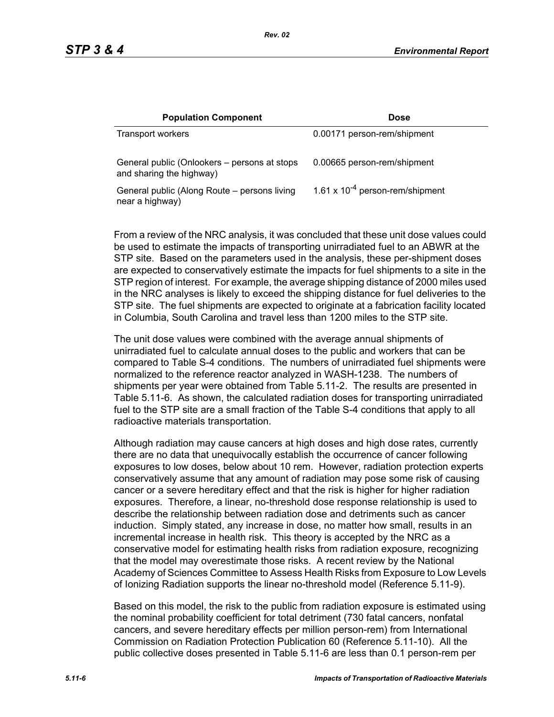| <b>Population Component</b>                                              | <b>Dose</b>                          |
|--------------------------------------------------------------------------|--------------------------------------|
| Transport workers                                                        | 0.00171 person-rem/shipment          |
| General public (Onlookers – persons at stops<br>and sharing the highway) | 0.00665 person-rem/shipment          |
| General public (Along Route – persons living<br>near a highway)          | 1.61 x $10^{-4}$ person-rem/shipment |

From a review of the NRC analysis, it was concluded that these unit dose values could be used to estimate the impacts of transporting unirradiated fuel to an ABWR at the STP site. Based on the parameters used in the analysis, these per-shipment doses are expected to conservatively estimate the impacts for fuel shipments to a site in the STP region of interest. For example, the average shipping distance of 2000 miles used in the NRC analyses is likely to exceed the shipping distance for fuel deliveries to the STP site. The fuel shipments are expected to originate at a fabrication facility located in Columbia, South Carolina and travel less than 1200 miles to the STP site.

The unit dose values were combined with the average annual shipments of unirradiated fuel to calculate annual doses to the public and workers that can be compared to Table S-4 conditions. The numbers of unirradiated fuel shipments were normalized to the reference reactor analyzed in WASH-1238. The numbers of shipments per year were obtained from Table 5.11-2. The results are presented in Table 5.11-6. As shown, the calculated radiation doses for transporting unirradiated fuel to the STP site are a small fraction of the Table S-4 conditions that apply to all radioactive materials transportation.

Although radiation may cause cancers at high doses and high dose rates, currently there are no data that unequivocally establish the occurrence of cancer following exposures to low doses, below about 10 rem. However, radiation protection experts conservatively assume that any amount of radiation may pose some risk of causing cancer or a severe hereditary effect and that the risk is higher for higher radiation exposures. Therefore, a linear, no-threshold dose response relationship is used to describe the relationship between radiation dose and detriments such as cancer induction. Simply stated, any increase in dose, no matter how small, results in an incremental increase in health risk. This theory is accepted by the NRC as a conservative model for estimating health risks from radiation exposure, recognizing that the model may overestimate those risks. A recent review by the National Academy of Sciences Committee to Assess Health Risks from Exposure to Low Levels of Ionizing Radiation supports the linear no-threshold model (Reference 5.11-9).

Based on this model, the risk to the public from radiation exposure is estimated using the nominal probability coefficient for total detriment (730 fatal cancers, nonfatal cancers, and severe hereditary effects per million person-rem) from International Commission on Radiation Protection Publication 60 (Reference 5.11-10). All the public collective doses presented in Table 5.11-6 are less than 0.1 person-rem per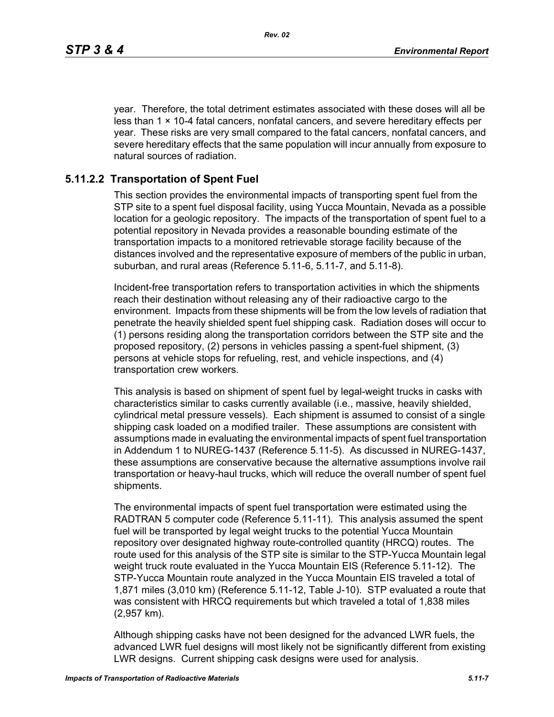year. Therefore, the total detriment estimates associated with these doses will all be less than  $1 \times 10-4$  fatal cancers, nonfatal cancers, and severe hereditary effects per year. These risks are very small compared to the fatal cancers, nonfatal cancers, and severe hereditary effects that the same population will incur annually from exposure to natural sources of radiation.

## **5.11.2.2 Transportation of Spent Fuel**

This section provides the environmental impacts of transporting spent fuel from the STP site to a spent fuel disposal facility, using Yucca Mountain, Nevada as a possible location for a geologic repository. The impacts of the transportation of spent fuel to a potential repository in Nevada provides a reasonable bounding estimate of the transportation impacts to a monitored retrievable storage facility because of the distances involved and the representative exposure of members of the public in urban, suburban, and rural areas (Reference 5.11-6, 5.11-7, and 5.11-8).

Incident-free transportation refers to transportation activities in which the shipments reach their destination without releasing any of their radioactive cargo to the environment. Impacts from these shipments will be from the low levels of radiation that penetrate the heavily shielded spent fuel shipping cask. Radiation doses will occur to (1) persons residing along the transportation corridors between the STP site and the proposed repository, (2) persons in vehicles passing a spent-fuel shipment, (3) persons at vehicle stops for refueling, rest, and vehicle inspections, and (4) transportation crew workers.

This analysis is based on shipment of spent fuel by legal-weight trucks in casks with characteristics similar to casks currently available (i.e., massive, heavily shielded, cylindrical metal pressure vessels). Each shipment is assumed to consist of a single shipping cask loaded on a modified trailer. These assumptions are consistent with assumptions made in evaluating the environmental impacts of spent fuel transportation in Addendum 1 to NUREG-1437 (Reference 5.11-5). As discussed in NUREG-1437, these assumptions are conservative because the alternative assumptions involve rail transportation or heavy-haul trucks, which will reduce the overall number of spent fuel shipments.

The environmental impacts of spent fuel transportation were estimated using the RADTRAN 5 computer code (Reference 5.11-11). This analysis assumed the spent fuel will be transported by legal weight trucks to the potential Yucca Mountain repository over designated highway route-controlled quantity (HRCQ) routes. The route used for this analysis of the STP site is similar to the STP-Yucca Mountain legal weight truck route evaluated in the Yucca Mountain EIS (Reference 5.11-12). The STP-Yucca Mountain route analyzed in the Yucca Mountain EIS traveled a total of 1,871 miles (3,010 km) (Reference 5.11-12, Table J-10). STP evaluated a route that was consistent with HRCQ requirements but which traveled a total of 1,838 miles (2,957 km).

Although shipping casks have not been designed for the advanced LWR fuels, the advanced LWR fuel designs will most likely not be significantly different from existing LWR designs. Current shipping cask designs were used for analysis.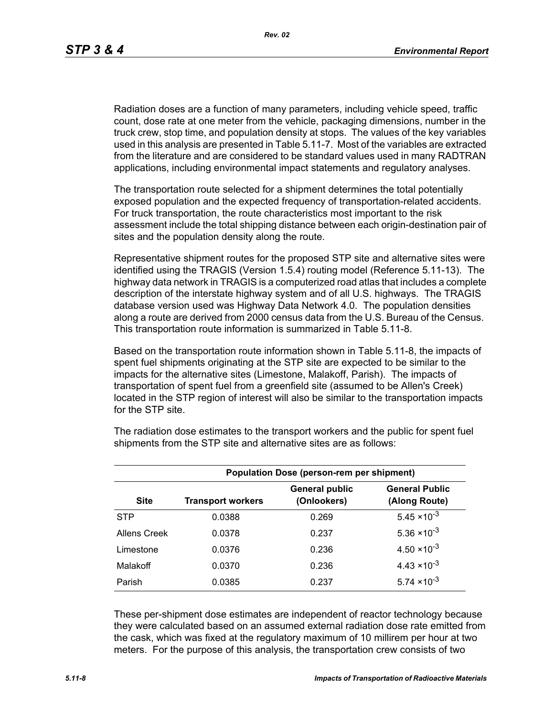Radiation doses are a function of many parameters, including vehicle speed, traffic count, dose rate at one meter from the vehicle, packaging dimensions, number in the truck crew, stop time, and population density at stops. The values of the key variables used in this analysis are presented in Table 5.11-7. Most of the variables are extracted from the literature and are considered to be standard values used in many RADTRAN applications, including environmental impact statements and regulatory analyses.

The transportation route selected for a shipment determines the total potentially exposed population and the expected frequency of transportation-related accidents. For truck transportation, the route characteristics most important to the risk assessment include the total shipping distance between each origin-destination pair of sites and the population density along the route.

Representative shipment routes for the proposed STP site and alternative sites were identified using the TRAGIS (Version 1.5.4) routing model (Reference 5.11-13). The highway data network in TRAGIS is a computerized road atlas that includes a complete description of the interstate highway system and of all U.S. highways. The TRAGIS database version used was Highway Data Network 4.0. The population densities along a route are derived from 2000 census data from the U.S. Bureau of the Census. This transportation route information is summarized in Table 5.11-8.

Based on the transportation route information shown in Table 5.11-8, the impacts of spent fuel shipments originating at the STP site are expected to be similar to the impacts for the alternative sites (Limestone, Malakoff, Parish). The impacts of transportation of spent fuel from a greenfield site (assumed to be Allen's Creek) located in the STP region of interest will also be similar to the transportation impacts for the STP site.

| <b>Population Dose (person-rem per shipment)</b> |                          |                                      |                                        |  |  |  |
|--------------------------------------------------|--------------------------|--------------------------------------|----------------------------------------|--|--|--|
| <b>Site</b>                                      | <b>Transport workers</b> | <b>General public</b><br>(Onlookers) | <b>General Public</b><br>(Along Route) |  |  |  |
| <b>STP</b>                                       | 0.0388                   | 0.269                                | $5.45 \times 10^{-3}$                  |  |  |  |
| Allens Creek                                     | 0.0378                   | 0.237                                | $5.36 \times 10^{-3}$                  |  |  |  |
| Limestone                                        | 0.0376                   | 0.236                                | $4.50 \times 10^{-3}$                  |  |  |  |
| Malakoff                                         | 0.0370                   | 0.236                                | $4.43 \times 10^{-3}$                  |  |  |  |
| Parish                                           | 0.0385                   | 0.237                                | $5.74 \times 10^{-3}$                  |  |  |  |

The radiation dose estimates to the transport workers and the public for spent fuel shipments from the STP site and alternative sites are as follows:

These per-shipment dose estimates are independent of reactor technology because they were calculated based on an assumed external radiation dose rate emitted from the cask, which was fixed at the regulatory maximum of 10 millirem per hour at two meters. For the purpose of this analysis, the transportation crew consists of two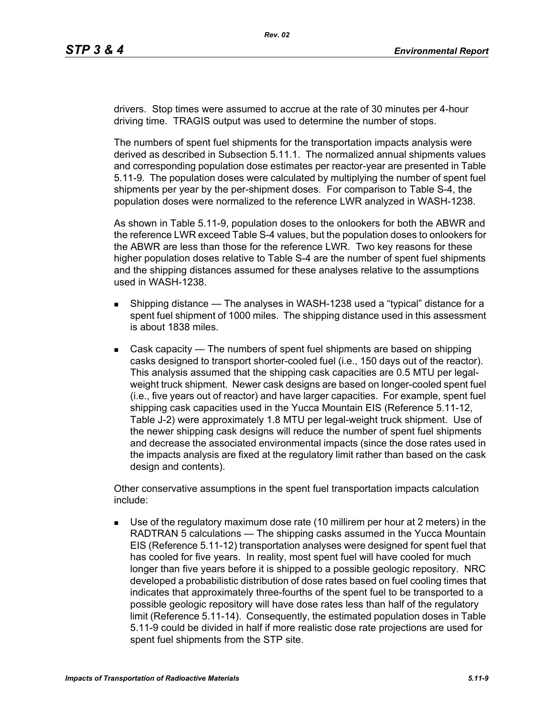drivers. Stop times were assumed to accrue at the rate of 30 minutes per 4-hour driving time. TRAGIS output was used to determine the number of stops.

The numbers of spent fuel shipments for the transportation impacts analysis were derived as described in Subsection 5.11.1. The normalized annual shipments values and corresponding population dose estimates per reactor-year are presented in Table 5.11-9. The population doses were calculated by multiplying the number of spent fuel shipments per year by the per-shipment doses. For comparison to Table S-4, the population doses were normalized to the reference LWR analyzed in WASH-1238.

As shown in Table 5.11-9, population doses to the onlookers for both the ABWR and the reference LWR exceed Table S-4 values, but the population doses to onlookers for the ABWR are less than those for the reference LWR. Two key reasons for these higher population doses relative to Table S-4 are the number of spent fuel shipments and the shipping distances assumed for these analyses relative to the assumptions used in WASH-1238.

- **Shipping distance The analyses in WASH-1238 used a "typical" distance for a** spent fuel shipment of 1000 miles. The shipping distance used in this assessment is about 1838 miles.
- Cask capacity The numbers of spent fuel shipments are based on shipping casks designed to transport shorter-cooled fuel (i.e., 150 days out of the reactor). This analysis assumed that the shipping cask capacities are 0.5 MTU per legalweight truck shipment. Newer cask designs are based on longer-cooled spent fuel (i.e., five years out of reactor) and have larger capacities. For example, spent fuel shipping cask capacities used in the Yucca Mountain EIS (Reference 5.11-12, Table J-2) were approximately 1.8 MTU per legal-weight truck shipment. Use of the newer shipping cask designs will reduce the number of spent fuel shipments and decrease the associated environmental impacts (since the dose rates used in the impacts analysis are fixed at the regulatory limit rather than based on the cask design and contents).

Other conservative assumptions in the spent fuel transportation impacts calculation include:

 Use of the regulatory maximum dose rate (10 millirem per hour at 2 meters) in the RADTRAN 5 calculations — The shipping casks assumed in the Yucca Mountain EIS (Reference 5.11-12) transportation analyses were designed for spent fuel that has cooled for five years. In reality, most spent fuel will have cooled for much longer than five years before it is shipped to a possible geologic repository. NRC developed a probabilistic distribution of dose rates based on fuel cooling times that indicates that approximately three-fourths of the spent fuel to be transported to a possible geologic repository will have dose rates less than half of the regulatory limit (Reference 5.11-14). Consequently, the estimated population doses in Table 5.11-9 could be divided in half if more realistic dose rate projections are used for spent fuel shipments from the STP site.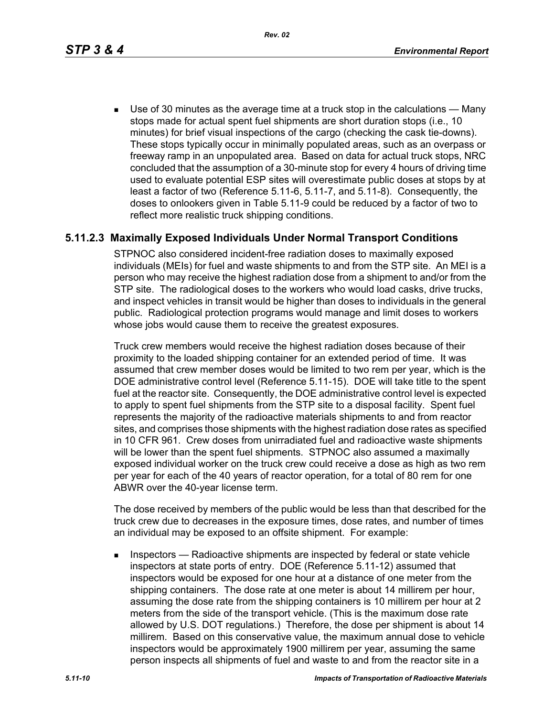*Rev. 02*

 Use of 30 minutes as the average time at a truck stop in the calculations — Many stops made for actual spent fuel shipments are short duration stops (i.e., 10 minutes) for brief visual inspections of the cargo (checking the cask tie-downs). These stops typically occur in minimally populated areas, such as an overpass or freeway ramp in an unpopulated area. Based on data for actual truck stops, NRC concluded that the assumption of a 30-minute stop for every 4 hours of driving time used to evaluate potential ESP sites will overestimate public doses at stops by at least a factor of two (Reference 5.11-6, 5.11-7, and 5.11-8). Consequently, the doses to onlookers given in Table 5.11-9 could be reduced by a factor of two to reflect more realistic truck shipping conditions.

## **5.11.2.3 Maximally Exposed Individuals Under Normal Transport Conditions**

STPNOC also considered incident-free radiation doses to maximally exposed individuals (MEIs) for fuel and waste shipments to and from the STP site. An MEI is a person who may receive the highest radiation dose from a shipment to and/or from the STP site. The radiological doses to the workers who would load casks, drive trucks, and inspect vehicles in transit would be higher than doses to individuals in the general public. Radiological protection programs would manage and limit doses to workers whose jobs would cause them to receive the greatest exposures.

Truck crew members would receive the highest radiation doses because of their proximity to the loaded shipping container for an extended period of time. It was assumed that crew member doses would be limited to two rem per year, which is the DOE administrative control level (Reference 5.11-15). DOE will take title to the spent fuel at the reactor site. Consequently, the DOE administrative control level is expected to apply to spent fuel shipments from the STP site to a disposal facility. Spent fuel represents the majority of the radioactive materials shipments to and from reactor sites, and comprises those shipments with the highest radiation dose rates as specified in 10 CFR 961. Crew doses from unirradiated fuel and radioactive waste shipments will be lower than the spent fuel shipments. STPNOC also assumed a maximally exposed individual worker on the truck crew could receive a dose as high as two rem per year for each of the 40 years of reactor operation, for a total of 80 rem for one ABWR over the 40-year license term.

The dose received by members of the public would be less than that described for the truck crew due to decreases in the exposure times, dose rates, and number of times an individual may be exposed to an offsite shipment. For example:

**Inspectors** — Radioactive shipments are inspected by federal or state vehicle inspectors at state ports of entry. DOE (Reference 5.11-12) assumed that inspectors would be exposed for one hour at a distance of one meter from the shipping containers. The dose rate at one meter is about 14 millirem per hour, assuming the dose rate from the shipping containers is 10 millirem per hour at 2 meters from the side of the transport vehicle. (This is the maximum dose rate allowed by U.S. DOT regulations.) Therefore, the dose per shipment is about 14 millirem. Based on this conservative value, the maximum annual dose to vehicle inspectors would be approximately 1900 millirem per year, assuming the same person inspects all shipments of fuel and waste to and from the reactor site in a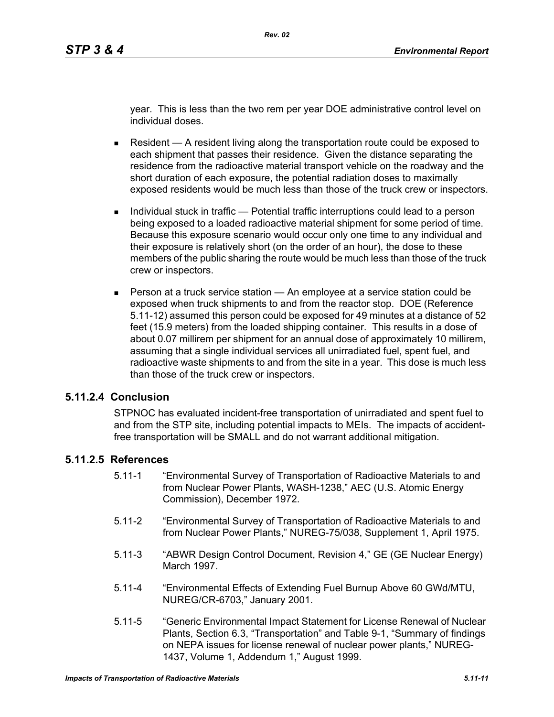year. This is less than the two rem per year DOE administrative control level on individual doses.

- Resident  $A$  resident living along the transportation route could be exposed to each shipment that passes their residence. Given the distance separating the residence from the radioactive material transport vehicle on the roadway and the short duration of each exposure, the potential radiation doses to maximally exposed residents would be much less than those of the truck crew or inspectors.
- Individual stuck in traffic Potential traffic interruptions could lead to a person being exposed to a loaded radioactive material shipment for some period of time. Because this exposure scenario would occur only one time to any individual and their exposure is relatively short (on the order of an hour), the dose to these members of the public sharing the route would be much less than those of the truck crew or inspectors.
- **Person at a truck service station An employee at a service station could be** exposed when truck shipments to and from the reactor stop. DOE (Reference 5.11-12) assumed this person could be exposed for 49 minutes at a distance of 52 feet (15.9 meters) from the loaded shipping container. This results in a dose of about 0.07 millirem per shipment for an annual dose of approximately 10 millirem, assuming that a single individual services all unirradiated fuel, spent fuel, and radioactive waste shipments to and from the site in a year. This dose is much less than those of the truck crew or inspectors.

### **5.11.2.4 Conclusion**

STPNOC has evaluated incident-free transportation of unirradiated and spent fuel to and from the STP site, including potential impacts to MEIs. The impacts of accidentfree transportation will be SMALL and do not warrant additional mitigation.

## **5.11.2.5 References**

- 5.11-1 "Environmental Survey of Transportation of Radioactive Materials to and from Nuclear Power Plants, WASH-1238," AEC (U.S. Atomic Energy Commission), December 1972.
- 5.11-2 "Environmental Survey of Transportation of Radioactive Materials to and from Nuclear Power Plants," NUREG-75/038, Supplement 1, April 1975.
- 5.11-3 "ABWR Design Control Document, Revision 4," GE (GE Nuclear Energy) March 1997.
- 5.11-4 "Environmental Effects of Extending Fuel Burnup Above 60 GWd/MTU, NUREG/CR-6703," January 2001.
- 5.11-5 "Generic Environmental Impact Statement for License Renewal of Nuclear Plants, Section 6.3, "Transportation" and Table 9-1, "Summary of findings on NEPA issues for license renewal of nuclear power plants," NUREG-1437, Volume 1, Addendum 1," August 1999.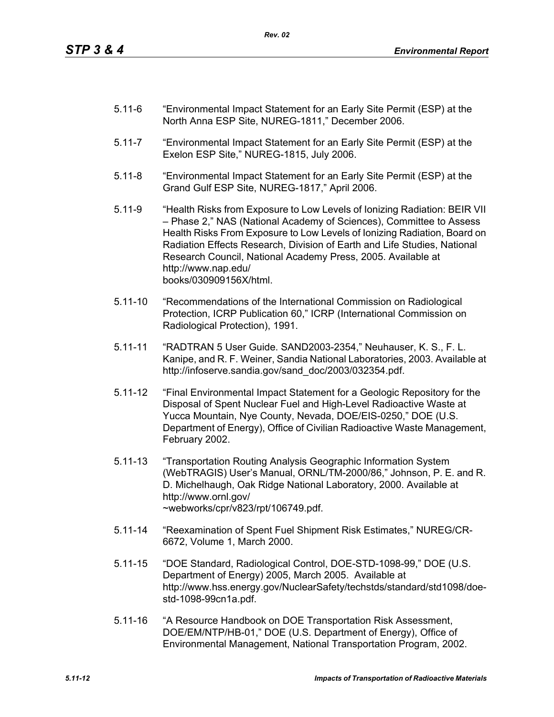- 5.11-6 "Environmental Impact Statement for an Early Site Permit (ESP) at the North Anna ESP Site, NUREG-1811," December 2006.
- 5.11-7 "Environmental Impact Statement for an Early Site Permit (ESP) at the Exelon ESP Site," NUREG-1815, July 2006.
- 5.11-8 "Environmental Impact Statement for an Early Site Permit (ESP) at the Grand Gulf ESP Site, NUREG-1817," April 2006.
- 5.11-9 "Health Risks from Exposure to Low Levels of Ionizing Radiation: BEIR VII – Phase 2," NAS (National Academy of Sciences), Committee to Assess Health Risks From Exposure to Low Levels of Ionizing Radiation, Board on Radiation Effects Research, Division of Earth and Life Studies, National Research Council, National Academy Press, 2005. Available at http://www.nap.edu/ books/030909156X/html.
- 5.11-10 "Recommendations of the International Commission on Radiological Protection, ICRP Publication 60," ICRP (International Commission on Radiological Protection), 1991.
- 5.11-11 "RADTRAN 5 User Guide. SAND2003-2354," Neuhauser, K. S., F. L. Kanipe, and R. F. Weiner, Sandia National Laboratories, 2003. Available at http://infoserve.sandia.gov/sand\_doc/2003/032354.pdf.
- 5.11-12 "Final Environmental Impact Statement for a Geologic Repository for the Disposal of Spent Nuclear Fuel and High-Level Radioactive Waste at Yucca Mountain, Nye County, Nevada, DOE/EIS-0250," DOE (U.S. Department of Energy), Office of Civilian Radioactive Waste Management, February 2002.
- 5.11-13 "Transportation Routing Analysis Geographic Information System (WebTRAGIS) User's Manual, ORNL/TM-2000/86," Johnson, P. E. and R. D. Michelhaugh, Oak Ridge National Laboratory, 2000. Available at http://www.ornl.gov/ ~webworks/cpr/v823/rpt/106749.pdf.
- 5.11-14 "Reexamination of Spent Fuel Shipment Risk Estimates," NUREG/CR-6672, Volume 1, March 2000.
- 5.11-15 "DOE Standard, Radiological Control, DOE-STD-1098-99," DOE (U.S. Department of Energy) 2005, March 2005. Available at http://www.hss.energy.gov/NuclearSafety/techstds/standard/std1098/doestd-1098-99cn1a.pdf.
- 5.11-16 "A Resource Handbook on DOE Transportation Risk Assessment, DOE/EM/NTP/HB-01," DOE (U.S. Department of Energy), Office of Environmental Management, National Transportation Program, 2002.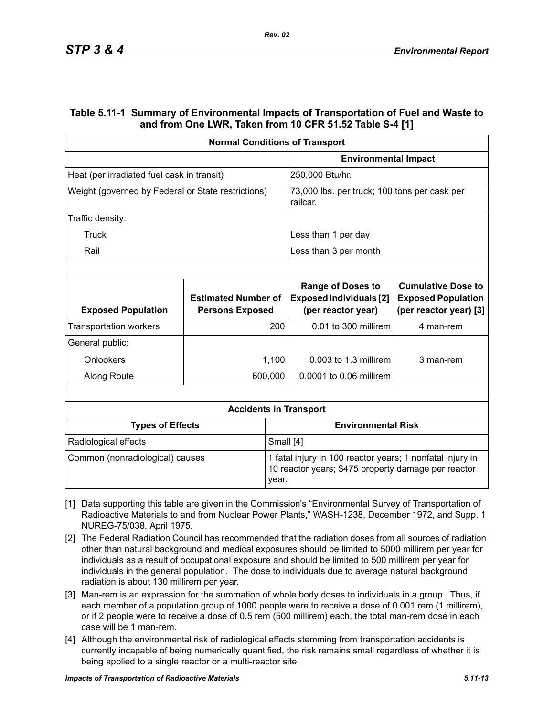### **Table 5.11-1 Summary of Environmental Impacts of Transportation of Fuel and Waste to and from One LWR, Taken from 10 CFR 51.52 Table S-4 [1]**

| <b>Normal Conditions of Transport</b>              |                                                      |                                                                                                                  |                                                                                  |                                                                                  |  |
|----------------------------------------------------|------------------------------------------------------|------------------------------------------------------------------------------------------------------------------|----------------------------------------------------------------------------------|----------------------------------------------------------------------------------|--|
|                                                    |                                                      | <b>Environmental Impact</b>                                                                                      |                                                                                  |                                                                                  |  |
| Heat (per irradiated fuel cask in transit)         |                                                      |                                                                                                                  | 250,000 Btu/hr.                                                                  |                                                                                  |  |
| Weight (governed by Federal or State restrictions) |                                                      |                                                                                                                  | 73,000 lbs. per truck; 100 tons per cask per<br>railcar.                         |                                                                                  |  |
| Traffic density:                                   |                                                      |                                                                                                                  |                                                                                  |                                                                                  |  |
| Truck                                              |                                                      |                                                                                                                  | Less than 1 per day                                                              |                                                                                  |  |
| Rail                                               |                                                      |                                                                                                                  | Less than 3 per month                                                            |                                                                                  |  |
|                                                    |                                                      |                                                                                                                  |                                                                                  |                                                                                  |  |
| <b>Exposed Population</b>                          | <b>Estimated Number of</b><br><b>Persons Exposed</b> |                                                                                                                  | <b>Range of Doses to</b><br><b>Exposed Individuals [2]</b><br>(per reactor year) | <b>Cumulative Dose to</b><br><b>Exposed Population</b><br>(per reactor year) [3] |  |
| <b>Transportation workers</b>                      | 200                                                  |                                                                                                                  | 0.01 to 300 millirem                                                             | 4 man-rem                                                                        |  |
| General public:                                    |                                                      |                                                                                                                  |                                                                                  |                                                                                  |  |
| Onlookers                                          |                                                      | 1,100                                                                                                            | $0.003$ to 1.3 millirem                                                          | 3 man-rem                                                                        |  |
| Along Route                                        |                                                      | 600,000                                                                                                          | 0.0001 to 0.06 millirem                                                          |                                                                                  |  |
|                                                    |                                                      |                                                                                                                  |                                                                                  |                                                                                  |  |
|                                                    |                                                      |                                                                                                                  | <b>Accidents in Transport</b>                                                    |                                                                                  |  |
| <b>Types of Effects</b>                            |                                                      |                                                                                                                  | <b>Environmental Risk</b>                                                        |                                                                                  |  |
| Small [4]<br>Radiological effects                  |                                                      |                                                                                                                  |                                                                                  |                                                                                  |  |
| Common (nonradiological) causes<br>year.           |                                                      | 1 fatal injury in 100 reactor years; 1 nonfatal injury in<br>10 reactor years; \$475 property damage per reactor |                                                                                  |                                                                                  |  |

- [1] Data supporting this table are given in the Commission's "Environmental Survey of Transportation of Radioactive Materials to and from Nuclear Power Plants," WASH-1238, December 1972, and Supp. 1 NUREG-75/038, April 1975.
- [2] The Federal Radiation Council has recommended that the radiation doses from all sources of radiation other than natural background and medical exposures should be limited to 5000 millirem per year for individuals as a result of occupational exposure and should be limited to 500 millirem per year for individuals in the general population. The dose to individuals due to average natural background radiation is about 130 millirem per year.
- [3] Man-rem is an expression for the summation of whole body doses to individuals in a group. Thus, if each member of a population group of 1000 people were to receive a dose of 0.001 rem (1 millirem), or if 2 people were to receive a dose of 0.5 rem (500 millirem) each, the total man-rem dose in each case will be 1 man-rem.
- [4] Although the environmental risk of radiological effects stemming from transportation accidents is currently incapable of being numerically quantified, the risk remains small regardless of whether it is being applied to a single reactor or a multi-reactor site.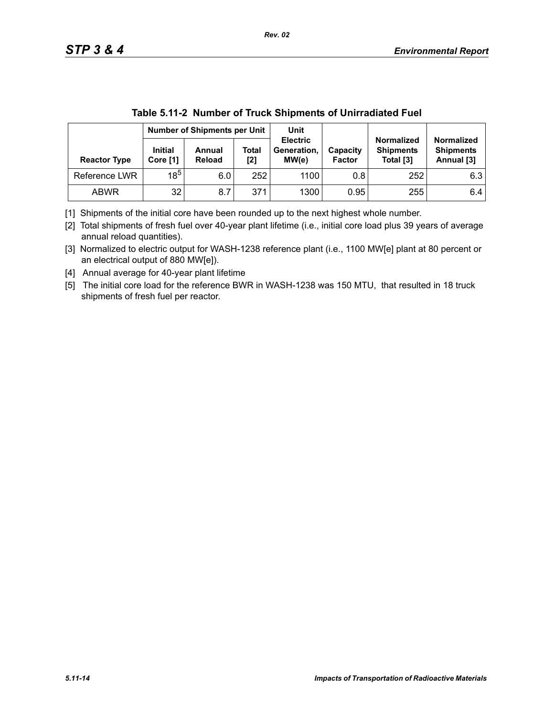|                     | Number of Shipments per Unit |                  |                     | Unit                                    |                           |                                                    |                                                     |
|---------------------|------------------------------|------------------|---------------------|-----------------------------------------|---------------------------|----------------------------------------------------|-----------------------------------------------------|
| <b>Reactor Type</b> | <b>Initial</b><br>Core [1]   | Annual<br>Reload | <b>Total</b><br>[2] | <b>Electric</b><br>Generation,<br>MW(e) | Capacity<br><b>Factor</b> | <b>Normalized</b><br><b>Shipments</b><br>Total [3] | <b>Normalized</b><br><b>Shipments</b><br>Annual [3] |
| Reference LWR       | $18^{5}$                     | 6.0              | 252                 | 1100                                    | 0.8                       | 252                                                | 6.3                                                 |
| <b>ABWR</b>         | 32                           | 8.7              | 371                 | 1300                                    | 0.95                      | 255                                                | 6.4                                                 |

| Table 5.11-2 Number of Truck Shipments of Unirradiated Fuel |
|-------------------------------------------------------------|
|-------------------------------------------------------------|

[1] Shipments of the initial core have been rounded up to the next highest whole number.

[2] Total shipments of fresh fuel over 40-year plant lifetime (i.e., initial core load plus 39 years of average annual reload quantities).

[3] Normalized to electric output for WASH-1238 reference plant (i.e., 1100 MW[e] plant at 80 percent or an electrical output of 880 MW[e]).

[4] Annual average for 40-year plant lifetime

[5] The initial core load for the reference BWR in WASH-1238 was 150 MTU, that resulted in 18 truck shipments of fresh fuel per reactor.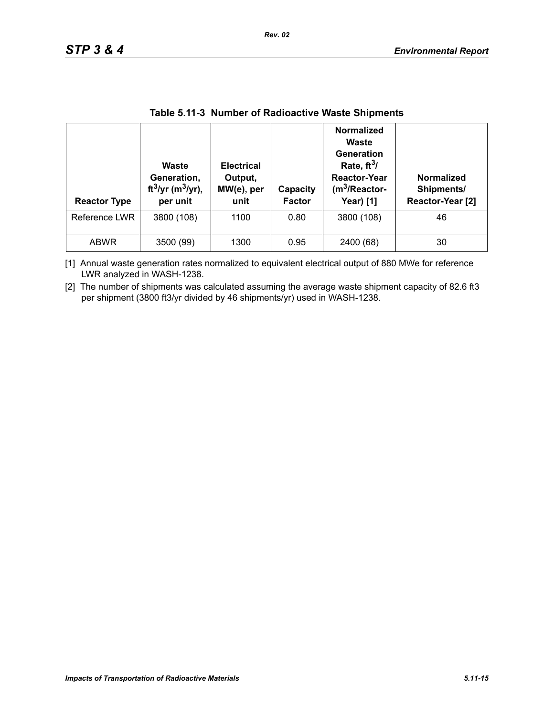| <b>Reactor Type</b> | Waste<br>Generation,<br>ft <sup>3</sup> /yr (m <sup>3</sup> /yr),<br>per unit | <b>Electrical</b><br>Output,<br>MW(e), per<br>unit | Capacity<br><b>Factor</b> | <b>Normalized</b><br>Waste<br>Generation<br>Rate, $ft^3/$<br><b>Reactor-Year</b><br>$(m3/Reactor-$<br><b>Year)</b> [1] | <b>Normalized</b><br>Shipments/<br>Reactor-Year [2] |
|---------------------|-------------------------------------------------------------------------------|----------------------------------------------------|---------------------------|------------------------------------------------------------------------------------------------------------------------|-----------------------------------------------------|
| Reference LWR       | 3800 (108)                                                                    | 1100                                               | 0.80                      | 3800 (108)                                                                                                             | 46                                                  |
| <b>ABWR</b>         | 3500 (99)                                                                     | 1300                                               | 0.95                      | 2400 (68)                                                                                                              | 30                                                  |

### **Table 5.11-3 Number of Radioactive Waste Shipments**

[1] Annual waste generation rates normalized to equivalent electrical output of 880 MWe for reference LWR analyzed in WASH-1238.

[2] The number of shipments was calculated assuming the average waste shipment capacity of 82.6 ft3 per shipment (3800 ft3/yr divided by 46 shipments/yr) used in WASH-1238.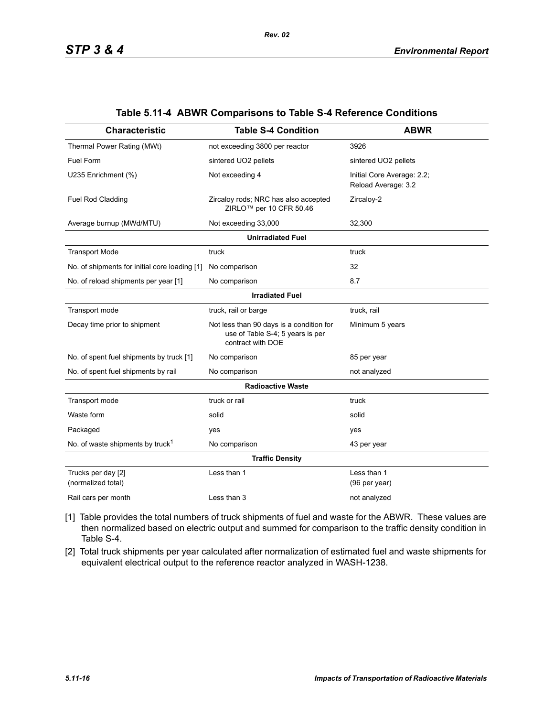| <b>Characteristic</b>                         | <b>Table S-4 Condition</b>                                                                        | <b>ABWR</b>                                       |  |  |  |  |  |  |
|-----------------------------------------------|---------------------------------------------------------------------------------------------------|---------------------------------------------------|--|--|--|--|--|--|
| Thermal Power Rating (MWt)                    | not exceeding 3800 per reactor                                                                    | 3926                                              |  |  |  |  |  |  |
| Fuel Form                                     | sintered UO2 pellets                                                                              | sintered UO2 pellets                              |  |  |  |  |  |  |
| U235 Enrichment (%)                           | Not exceeding 4                                                                                   | Initial Core Average: 2.2;<br>Reload Average: 3.2 |  |  |  |  |  |  |
| Fuel Rod Cladding                             | Zircaloy rods; NRC has also accepted<br>ZIRLO <sup>™</sup> per 10 CFR 50.46                       | Zircaloy-2                                        |  |  |  |  |  |  |
| Average burnup (MWd/MTU)                      | Not exceeding 33,000                                                                              | 32,300                                            |  |  |  |  |  |  |
|                                               | <b>Unirradiated Fuel</b>                                                                          |                                                   |  |  |  |  |  |  |
| <b>Transport Mode</b>                         | truck                                                                                             | truck                                             |  |  |  |  |  |  |
| No. of shipments for initial core loading [1] | No comparison                                                                                     | 32                                                |  |  |  |  |  |  |
| No. of reload shipments per year [1]          | No comparison                                                                                     | 8.7                                               |  |  |  |  |  |  |
|                                               | <b>Irradiated Fuel</b>                                                                            |                                                   |  |  |  |  |  |  |
| Transport mode                                | truck, rail or barge                                                                              | truck, rail                                       |  |  |  |  |  |  |
| Decay time prior to shipment                  | Not less than 90 days is a condition for<br>use of Table S-4; 5 years is per<br>contract with DOE | Minimum 5 years                                   |  |  |  |  |  |  |
| No. of spent fuel shipments by truck [1]      | No comparison                                                                                     | 85 per year                                       |  |  |  |  |  |  |
| No. of spent fuel shipments by rail           | No comparison                                                                                     | not analyzed                                      |  |  |  |  |  |  |
|                                               | <b>Radioactive Waste</b>                                                                          |                                                   |  |  |  |  |  |  |
| Transport mode                                | truck or rail                                                                                     | truck                                             |  |  |  |  |  |  |
| Waste form                                    | solid                                                                                             | solid                                             |  |  |  |  |  |  |
| Packaged                                      | yes                                                                                               | yes                                               |  |  |  |  |  |  |
| No. of waste shipments by truck <sup>1</sup>  | No comparison                                                                                     | 43 per year                                       |  |  |  |  |  |  |
|                                               | <b>Traffic Density</b>                                                                            |                                                   |  |  |  |  |  |  |
| Trucks per day [2]<br>(normalized total)      | Less than 1                                                                                       | Less than 1<br>(96 per year)                      |  |  |  |  |  |  |
| Rail cars per month                           | Less than 3                                                                                       | not analyzed                                      |  |  |  |  |  |  |

#### **Table 5.11-4 ABWR Comparisons to Table S-4 Reference Conditions**

- [1] Table provides the total numbers of truck shipments of fuel and waste for the ABWR. These values are then normalized based on electric output and summed for comparison to the traffic density condition in Table S-4.
- [2] Total truck shipments per year calculated after normalization of estimated fuel and waste shipments for equivalent electrical output to the reference reactor analyzed in WASH-1238.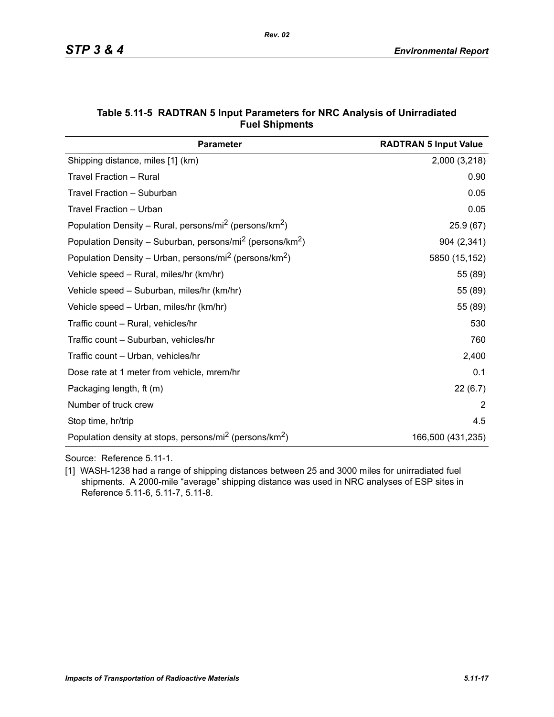| <b>Parameter</b>                                                                  | <b>RADTRAN 5 Input Value</b> |
|-----------------------------------------------------------------------------------|------------------------------|
| Shipping distance, miles [1] (km)                                                 | 2,000 (3,218)                |
| Travel Fraction - Rural                                                           | 0.90                         |
| Travel Fraction - Suburban                                                        | 0.05                         |
| Travel Fraction - Urban                                                           | 0.05                         |
| Population Density – Rural, persons/mi <sup>2</sup> (persons/km <sup>2</sup> )    | 25.9(67)                     |
| Population Density – Suburban, persons/mi <sup>2</sup> (persons/km <sup>2</sup> ) | 904 (2,341)                  |
| Population Density – Urban, persons/mi <sup>2</sup> (persons/km <sup>2</sup> )    | 5850 (15,152)                |
| Vehicle speed - Rural, miles/hr (km/hr)                                           | 55 (89)                      |
| Vehicle speed - Suburban, miles/hr (km/hr)                                        | 55 (89)                      |
| Vehicle speed - Urban, miles/hr (km/hr)                                           | 55 (89)                      |
| Traffic count - Rural, vehicles/hr                                                | 530                          |
| Traffic count - Suburban, vehicles/hr                                             | 760                          |
| Traffic count - Urban, vehicles/hr                                                | 2,400                        |
| Dose rate at 1 meter from vehicle, mrem/hr                                        | 0.1                          |
| Packaging length, ft (m)                                                          | 22(6.7)                      |
| Number of truck crew                                                              | 2                            |
| Stop time, hr/trip                                                                | 4.5                          |
| Population density at stops, persons/mi <sup>2</sup> (persons/km <sup>2</sup> )   | 166,500 (431,235)            |

### **Table 5.11-5 RADTRAN 5 Input Parameters for NRC Analysis of Unirradiated Fuel Shipments**

Source: Reference 5.11-1.

[1] WASH-1238 had a range of shipping distances between 25 and 3000 miles for unirradiated fuel shipments. A 2000-mile "average" shipping distance was used in NRC analyses of ESP sites in Reference 5.11-6, 5.11-7, 5.11-8.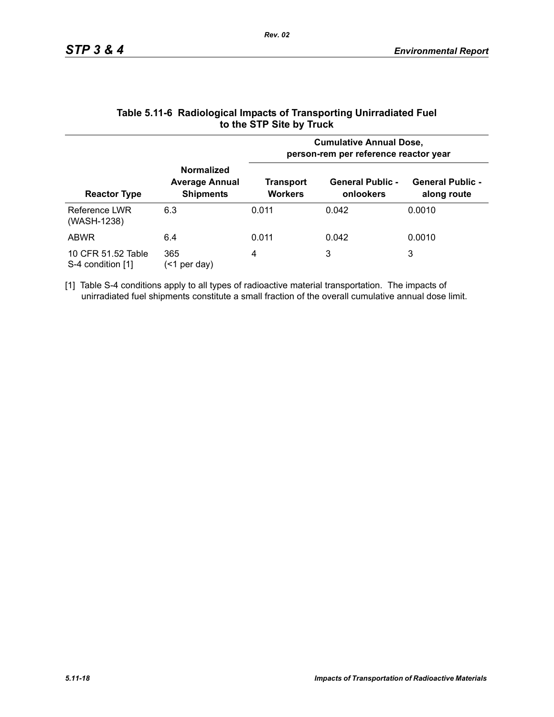|                                         |                                                                | <b>Cumulative Annual Dose,</b><br>person-rem per reference reactor year |                                      |                                        |  |  |
|-----------------------------------------|----------------------------------------------------------------|-------------------------------------------------------------------------|--------------------------------------|----------------------------------------|--|--|
| <b>Reactor Type</b>                     | <b>Normalized</b><br><b>Average Annual</b><br><b>Shipments</b> | Transport<br><b>Workers</b>                                             | <b>General Public -</b><br>onlookers | <b>General Public -</b><br>along route |  |  |
| Reference LWR<br>(WASH-1238)            | 6.3                                                            | 0.011                                                                   | 0.042                                | 0.0010                                 |  |  |
| <b>ABWR</b>                             | 6.4                                                            | 0.011                                                                   | 0.042                                | 0.0010                                 |  |  |
| 10 CFR 51.52 Table<br>S-4 condition [1] | 365<br>per day)<br>(<1                                         | 4                                                                       | 3                                    | 3                                      |  |  |

### **Table 5.11-6 Radiological Impacts of Transporting Unirradiated Fuel to the STP Site by Truck**

[1] Table S-4 conditions apply to all types of radioactive material transportation. The impacts of unirradiated fuel shipments constitute a small fraction of the overall cumulative annual dose limit.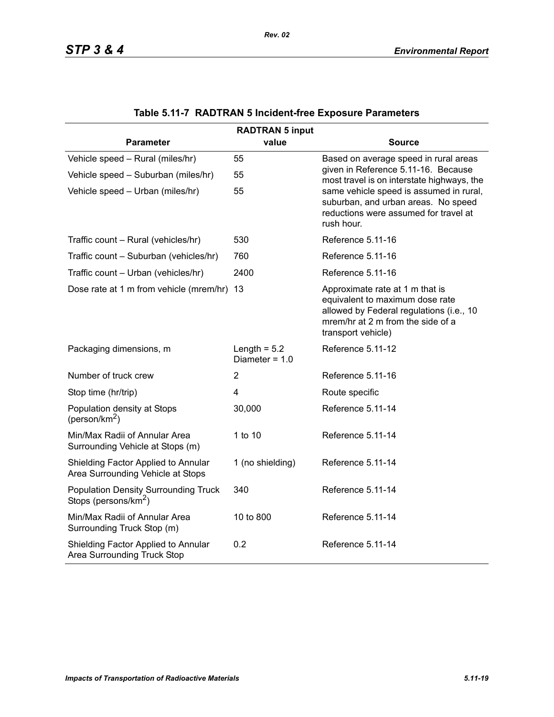| <b>RADTRAN 5 input</b>                                                          |                                    |                                                                                                                                                                           |  |  |  |  |
|---------------------------------------------------------------------------------|------------------------------------|---------------------------------------------------------------------------------------------------------------------------------------------------------------------------|--|--|--|--|
| <b>Parameter</b>                                                                | value                              | <b>Source</b>                                                                                                                                                             |  |  |  |  |
| Vehicle speed - Rural (miles/hr)                                                | 55                                 | Based on average speed in rural areas                                                                                                                                     |  |  |  |  |
| Vehicle speed - Suburban (miles/hr)                                             | 55                                 | given in Reference 5.11-16. Because<br>most travel is on interstate highways, the                                                                                         |  |  |  |  |
| Vehicle speed - Urban (miles/hr)                                                | 55                                 | same vehicle speed is assumed in rural,<br>suburban, and urban areas. No speed<br>reductions were assumed for travel at<br>rush hour.                                     |  |  |  |  |
| Traffic count - Rural (vehicles/hr)                                             | 530                                | Reference 5.11-16                                                                                                                                                         |  |  |  |  |
| Traffic count - Suburban (vehicles/hr)                                          | 760                                | Reference 5.11-16                                                                                                                                                         |  |  |  |  |
| Traffic count - Urban (vehicles/hr)                                             | 2400                               | Reference 5.11-16                                                                                                                                                         |  |  |  |  |
| Dose rate at 1 m from vehicle (mrem/hr) 13                                      |                                    | Approximate rate at 1 m that is<br>equivalent to maximum dose rate<br>allowed by Federal regulations (i.e., 10<br>mrem/hr at 2 m from the side of a<br>transport vehicle) |  |  |  |  |
| Packaging dimensions, m                                                         | Length = $5.2$<br>Diameter = $1.0$ | Reference 5.11-12                                                                                                                                                         |  |  |  |  |
| Number of truck crew                                                            | $\overline{2}$                     | Reference 5.11-16                                                                                                                                                         |  |  |  |  |
| Stop time (hr/trip)                                                             | $\overline{4}$                     | Route specific                                                                                                                                                            |  |  |  |  |
| Population density at Stops<br>(person/km <sup>2</sup> )                        | 30,000                             | Reference 5.11-14                                                                                                                                                         |  |  |  |  |
| Min/Max Radii of Annular Area<br>Surrounding Vehicle at Stops (m)               | 1 to 10                            | Reference 5.11-14                                                                                                                                                         |  |  |  |  |
| Shielding Factor Applied to Annular<br>Area Surrounding Vehicle at Stops        | 1 (no shielding)                   | Reference 5.11-14                                                                                                                                                         |  |  |  |  |
| <b>Population Density Surrounding Truck</b><br>Stops (persons/km <sup>2</sup> ) | 340                                | Reference 5.11-14                                                                                                                                                         |  |  |  |  |
| Min/Max Radii of Annular Area<br>Surrounding Truck Stop (m)                     | 10 to 800                          | Reference 5.11-14                                                                                                                                                         |  |  |  |  |
| Shielding Factor Applied to Annular<br>Area Surrounding Truck Stop              | 0.2                                | Reference 5.11-14                                                                                                                                                         |  |  |  |  |

# **Table 5.11-7 RADTRAN 5 Incident-free Exposure Parameters**